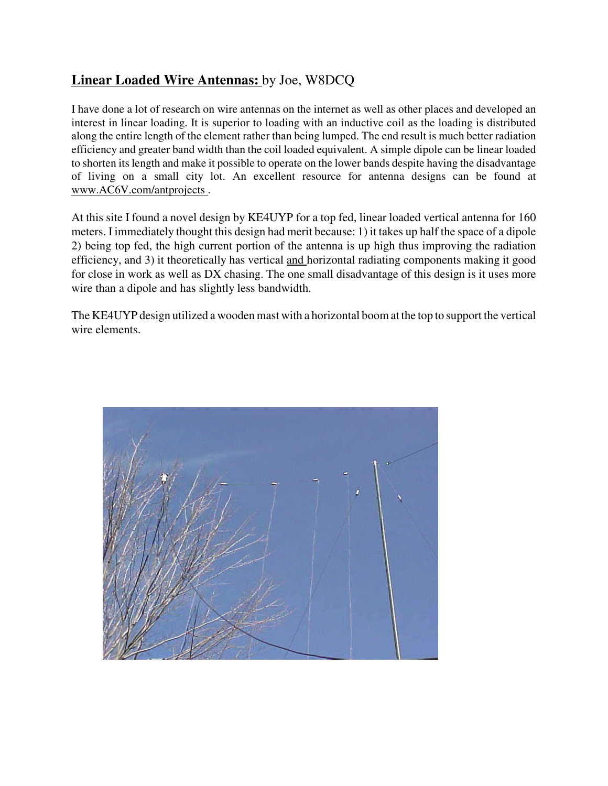## **Linear Loaded Wire Antennas:** by Joe, W8DCQ

I have done a lot of research on wire antennas on the internet as well as other places and developed an interest in linear loading. It is superior to loading with an inductive coil as the loading is distributed along the entire length of the element rather than being lumped. The end result is much better radiation efficiency and greater band width than the coil loaded equivalent. A simple dipole can be linear loaded to shorten its length and make it possible to operate on the lower bands despite having the disadvantage of living on a small city lot. An excellent resource for antenna designs can be found at www.AC6V.com/antprojects .

At this site I found a novel design by KE4UYP for a top fed, linear loaded vertical antenna for 160 meters. I immediately thought this design had merit because: 1) it takes up half the space of a dipole 2) being top fed, the high current portion of the antenna is up high thus improving the radiation efficiency, and 3) it theoretically has vertical and horizontal radiating components making it good for close in work as well as DX chasing. The one small disadvantage of this design is it uses more wire than a dipole and has slightly less bandwidth.

The KE4UYP design utilized a wooden mast with a horizontal boom at the top to support the vertical wire elements.